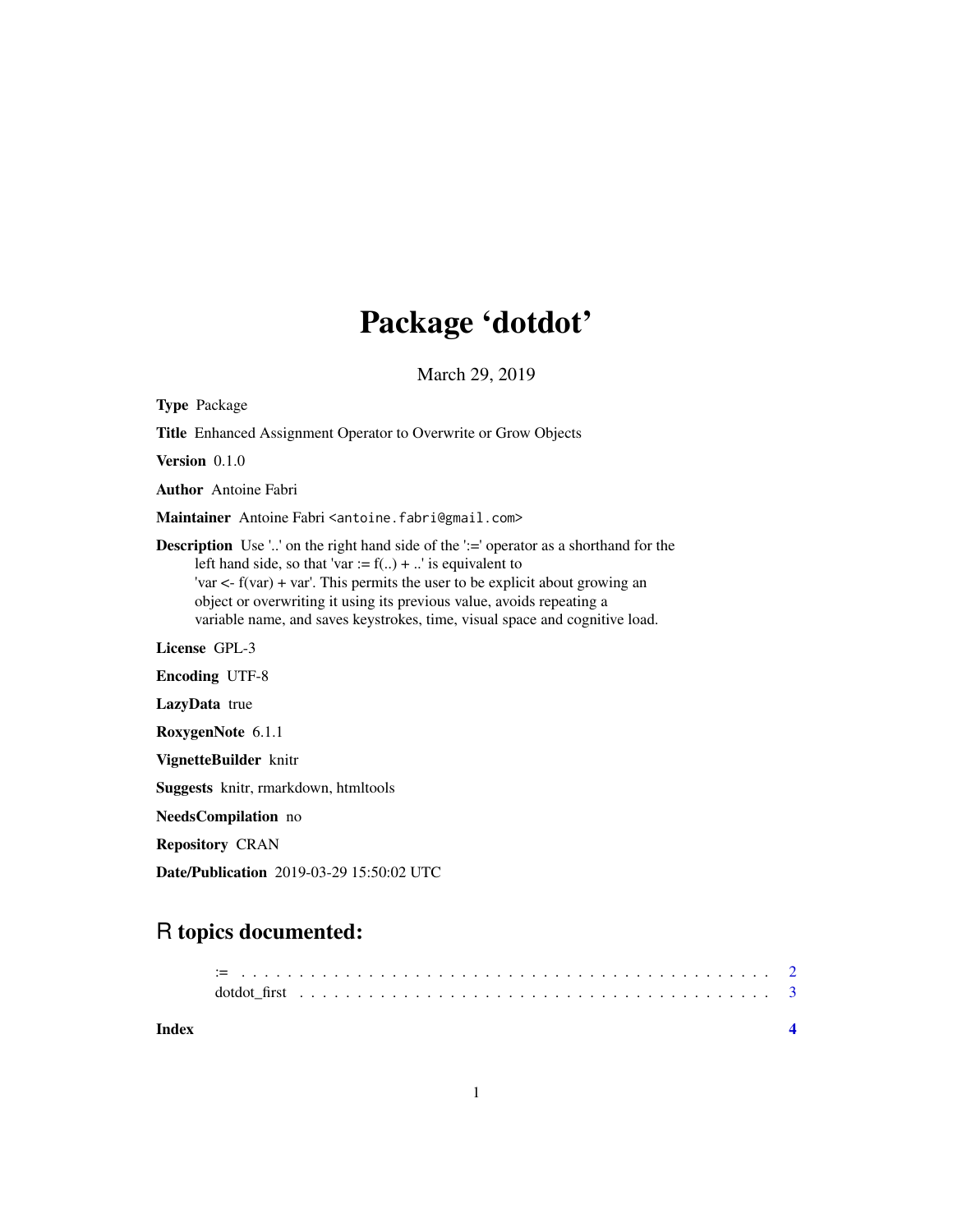## Package 'dotdot'

March 29, 2019

Type Package Title Enhanced Assignment Operator to Overwrite or Grow Objects Version 0.1.0 Author Antoine Fabri Maintainer Antoine Fabri <antoine.fabri@gmail.com> **Description** Use '..' on the right hand side of the ':=' operator as a shorthand for the left hand side, so that 'var :=  $f(..) + .'.'$  is equivalent to 'var <- f(var) + var'. This permits the user to be explicit about growing an object or overwriting it using its previous value, avoids repeating a variable name, and saves keystrokes, time, visual space and cognitive load. License GPL-3 Encoding UTF-8 LazyData true RoxygenNote 6.1.1 VignetteBuilder knitr Suggests knitr, rmarkdown, htmltools NeedsCompilation no Repository CRAN

Date/Publication 2019-03-29 15:50:02 UTC

## R topics documented:

| Index |  |  |  |  |  |  |  |  |  |  |  |  |  |  |  |  |  |  |
|-------|--|--|--|--|--|--|--|--|--|--|--|--|--|--|--|--|--|--|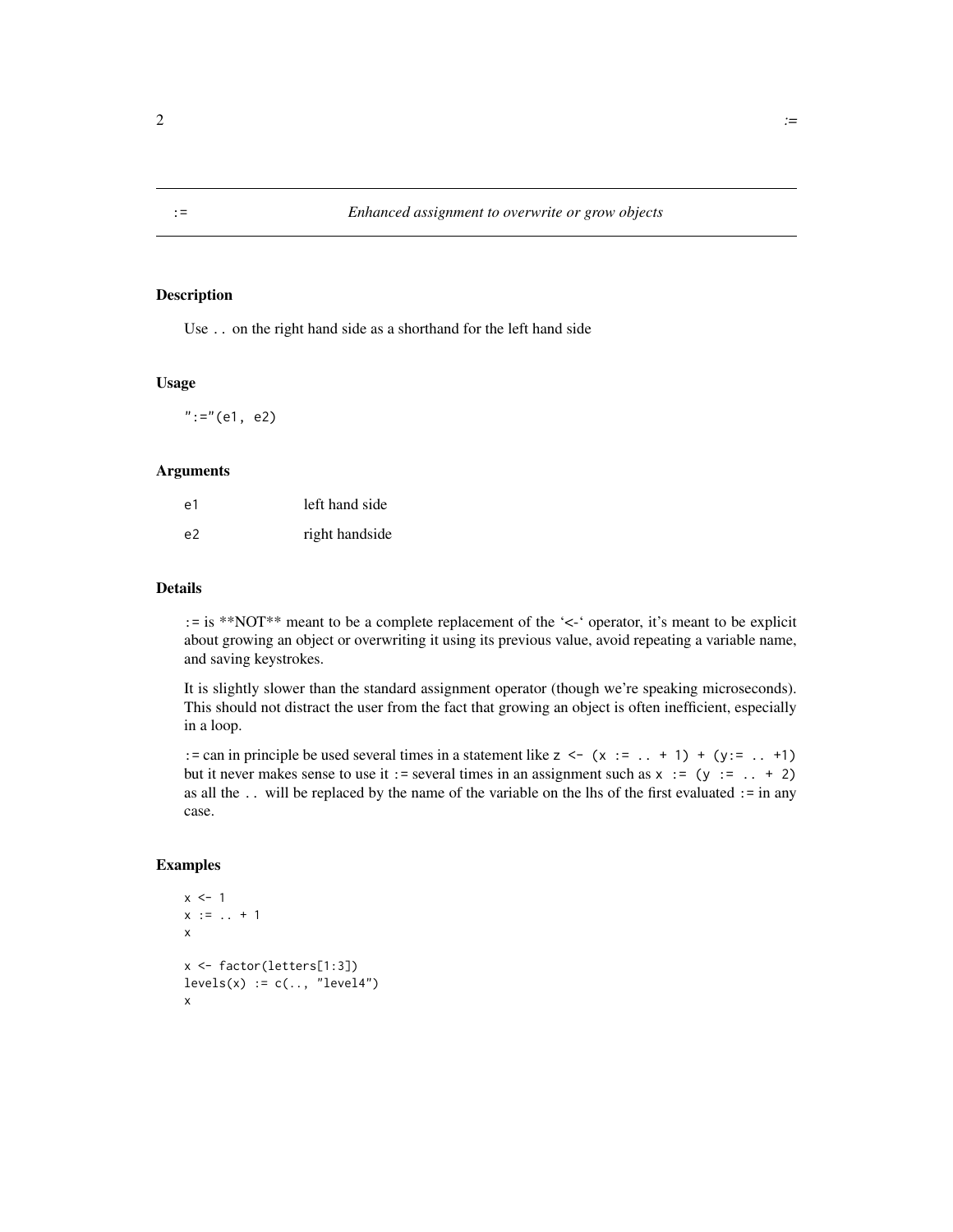#### Description

Use .. on the right hand side as a shorthand for the left hand side

#### Usage

 $":="(e1, e2)$ 

#### Arguments

| e1             | left hand side |
|----------------|----------------|
| e <sup>2</sup> | right handside |

#### Details

:= is \*\*NOT\*\* meant to be a complete replacement of the '<-' operator, it's meant to be explicit about growing an object or overwriting it using its previous value, avoid repeating a variable name, and saving keystrokes.

It is slightly slower than the standard assignment operator (though we're speaking microseconds). This should not distract the user from the fact that growing an object is often inefficient, especially in a loop.

: = can in principle be used several times in a statement like  $z \le -(x := . . + 1) + (y := . . + 1)$ but it never makes sense to use it := several times in an assignment such as  $x := (y := . . + 2)$ as all the .. will be replaced by the name of the variable on the lhs of the first evaluated := in any case.

#### Examples

```
x \le -1x := ... + 1x
x <- factor(letters[1:3])
levels(x) := c(..., "level4")x
```
<span id="page-1-0"></span>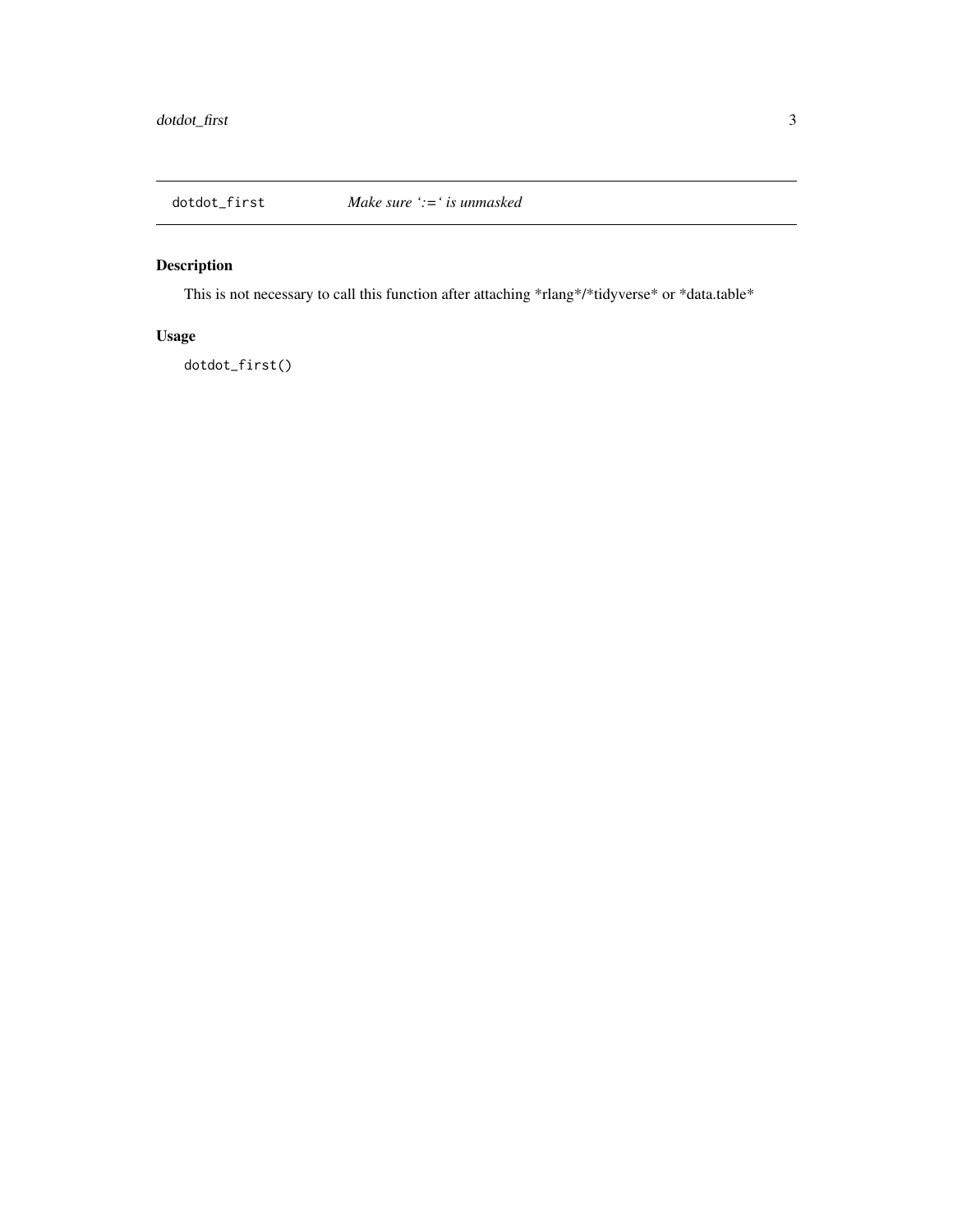<span id="page-2-0"></span>

### Description

This is not necessary to call this function after attaching \*rlang\*/\*tidyverse\* or \*data.table\*

#### Usage

dotdot\_first()